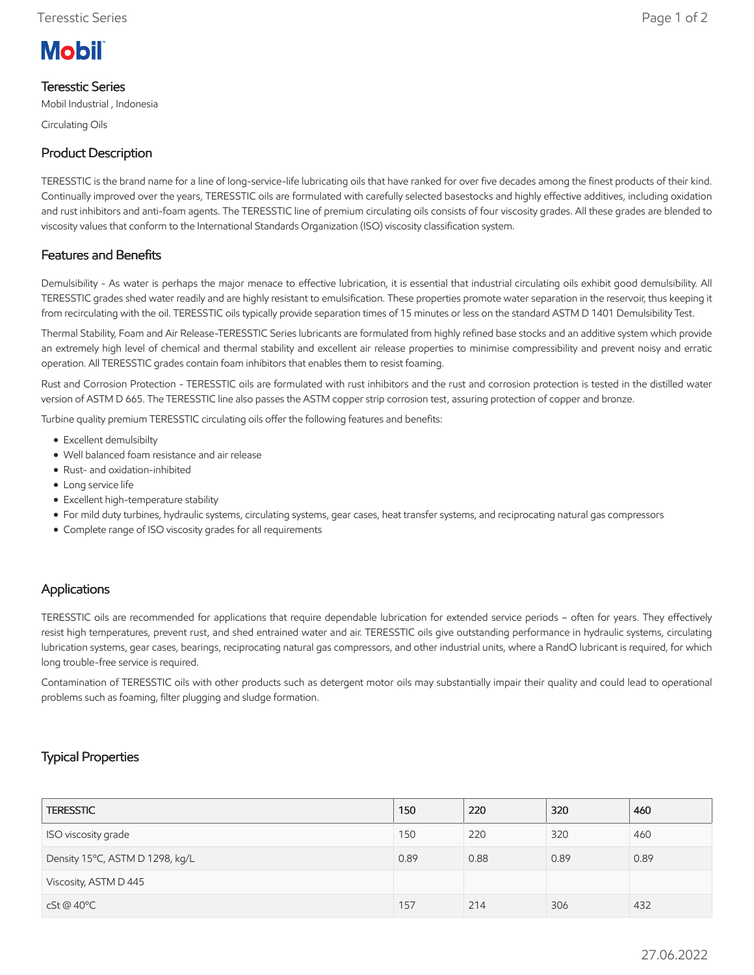

# Teresstic Series

Mobil Industrial , Indonesia

Circulating Oils

# Product Description

TERESSTIC is the brand name for a line of long-service-life lubricating oils that have ranked for over five decades among the finest products of their kind. Continually improved over the years, TERESSTIC oils are formulated with carefully selected basestocks and highly effective additives, including oxidation and rust inhibitors and anti-foam agents. The TERESSTIC line of premium circulating oils consists of four viscosity grades. All these grades are blended to viscosity values that conform to the International Standards Organization (ISO) viscosity classification system.

## Features and Benefits

Demulsibility - As water is perhaps the major menace to effective lubrication, it is essential that industrial circulating oils exhibit good demulsibility. All TERESSTIC grades shed water readily and are highly resistant to emulsification. These properties promote water separation in the reservoir, thus keeping it from recirculating with the oil. TERESSTIC oils typically provide separation times of 15 minutes or less on the standard ASTM D 1401 Demulsibility Test.

Thermal Stability, Foam and Air Release-TERESSTIC Series lubricants are formulated from highly refined base stocks and an additive system which provide an extremely high level of chemical and thermal stability and excellent air release properties to minimise compressibility and prevent noisy and erratic operation. All TERESSTIC grades contain foam inhibitors that enables them to resist foaming.

Rust and Corrosion Protection - TERESSTIC oils are formulated with rust inhibitors and the rust and corrosion protection is tested in the distilled water version of ASTM D 665. The TERESSTIC line also passes the ASTM copper strip corrosion test, assuring protection of copper and bronze.

Turbine quality premium TERESSTIC circulating oils offer the following features and benefits:

- Excellent demulsibilty
- Well balanced foam resistance and air release
- Rust- and oxidation-inhibited
- Long service life
- Excellent high-temperature stability
- For mild duty turbines, hydraulic systems, circulating systems, gear cases, heat transfer systems, and reciprocating natural gas compressors
- Complete range of ISO viscosity grades for all requirements

### Applications

TERESSTIC oils are recommended for applications that require dependable lubrication for extended service periods – often for years. They effectively resist high temperatures, prevent rust, and shed entrained water and air. TERESSTIC oils give outstanding performance in hydraulic systems, circulating lubrication systems, gear cases, bearings, reciprocating natural gas compressors, and other industrial units, where a RandO lubricant is required, for which long trouble-free service is required.

Contamination of TERESSTIC oils with other products such as detergent motor oils may substantially impair their quality and could lead to operational problems such as foaming, filter plugging and sludge formation.

# Typical Properties

| <b>TERESSTIC</b>                | 150  | 220  | 320  | 460  |
|---------------------------------|------|------|------|------|
| ISO viscosity grade             | 150  | 220  | 320  | 460  |
| Density 15°C, ASTM D 1298, kg/L | 0.89 | 0.88 | 0.89 | 0.89 |
| Viscosity, ASTM D 445           |      |      |      |      |
| cSt@40°C                        | 157  | 214  | 306  | 432  |